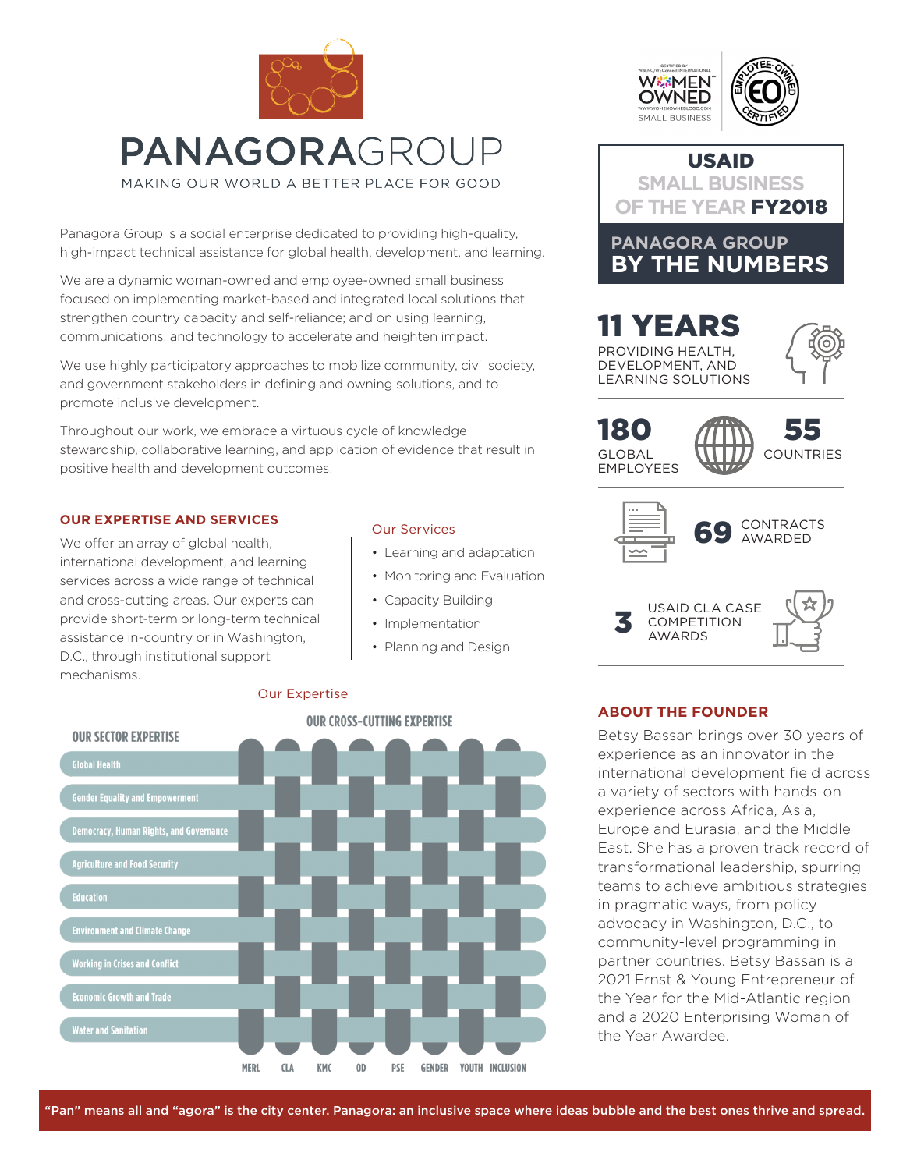

Panagora Group is a social enterprise dedicated to providing high-quality, high-impact technical assistance for global health, development, and learning.

We are a dynamic woman-owned and employee-owned small business focused on implementing market-based and integrated local solutions that strengthen country capacity and self-reliance; and on using learning, communications, and technology to accelerate and heighten impact.

We use highly participatory approaches to mobilize community, civil society, and government stakeholders in defining and owning solutions, and to promote inclusive development.

Throughout our work, we embrace a virtuous cycle of knowledge stewardship, collaborative learning, and application of evidence that result in positive health and development outcomes.

## **OUR EXPERTISE AND SERVICES**

We offer an array of global health, international development, and learning services across a wide range of technical and cross-cutting areas. Our experts can provide short-term or long-term technical assistance in-country or in Washington, D.C., through institutional support mechanisms.

## Our Services

- Learning and adaptation
- Monitoring and Evaluation
- Capacity Building
- Implementation
- Planning and Design



## Our Expertise





Betsy Bassan brings over 30 years of experience as an innovator in the international development field across a variety of sectors with hands-on experience across Africa, Asia, Europe and Eurasia, and the Middle East. She has a proven track record of transformational leadership, spurring teams to achieve ambitious strategies in pragmatic ways, from policy advocacy in Washington, D.C., to community-level programming in partner countries. Betsy Bassan is a 2021 Ernst & Young Entrepreneur of the Year for the Mid-Atlantic region and a 2020 Enterprising Woman of the Year Awardee.